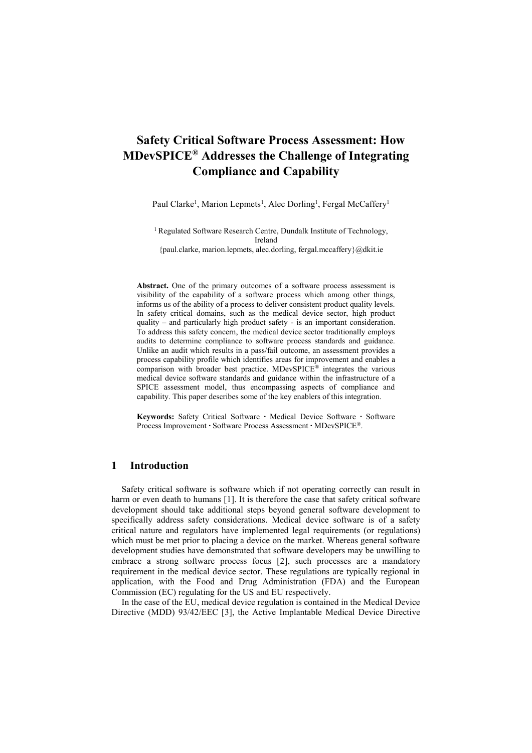# **Safety Critical Software Process Assessment: How MDevSPICE® Addresses the Challenge of Integrating Compliance and Capability**

Paul Clarke<sup>1</sup>, Marion Lepmets<sup>1</sup>, Alec Dorling<sup>1</sup>, Fergal McCaffery<sup>1</sup>

<sup>1</sup> Regulated Software Research Centre, Dundalk Institute of Technology, Ireland

{paul.clarke, marion.lepmets, alec.dorling, fergal.mccaffery}@dkit.ie

**Abstract.** One of the primary outcomes of a software process assessment is visibility of the capability of a software process which among other things, informs us of the ability of a process to deliver consistent product quality levels. In safety critical domains, such as the medical device sector, high product quality – and particularly high product safety - is an important consideration. To address this safety concern, the medical device sector traditionally employs audits to determine compliance to software process standards and guidance. Unlike an audit which results in a pass/fail outcome, an assessment provides a process capability profile which identifies areas for improvement and enables a comparison with broader best practice. MDevSPICE® integrates the various medical device software standards and guidance within the infrastructure of a SPICE assessment model, thus encompassing aspects of compliance and capability. This paper describes some of the key enablers of this integration.

**Keywords:** Safety Critical Software **∙** Medical Device Software **∙** Software Process Improvement **∙** Software Process Assessment **∙** MDevSPICE®.

### **1 Introduction**

Safety critical software is software which if not operating correctly can result in harm or even death to humans [1]. It is therefore the case that safety critical software development should take additional steps beyond general software development to specifically address safety considerations. Medical device software is of a safety critical nature and regulators have implemented legal requirements (or regulations) which must be met prior to placing a device on the market. Whereas general software development studies have demonstrated that software developers may be unwilling to embrace a strong software process focus [2], such processes are a mandatory requirement in the medical device sector. These regulations are typically regional in application, with the Food and Drug Administration (FDA) and the European Commission (EC) regulating for the US and EU respectively.

In the case of the EU, medical device regulation is contained in the Medical Device Directive (MDD) 93/42/EEC [3], the Active Implantable Medical Device Directive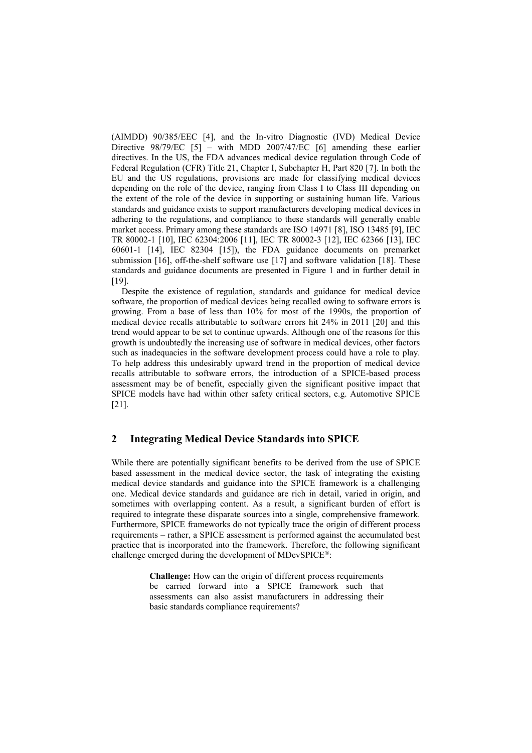(AIMDD) 90/385/EEC [4], and the In-vitro Diagnostic (IVD) Medical Device Directive 98/79/EC [5] – with MDD 2007/47/EC [6] amending these earlier directives. In the US, the FDA advances medical device regulation through Code of Federal Regulation (CFR) Title 21, Chapter I, Subchapter H, Part 820 [7]. In both the EU and the US regulations, provisions are made for classifying medical devices depending on the role of the device, ranging from Class I to Class III depending on the extent of the role of the device in supporting or sustaining human life. Various standards and guidance exists to support manufacturers developing medical devices in adhering to the regulations, and compliance to these standards will generally enable market access. Primary among these standards are ISO 14971 [8], ISO 13485 [9], IEC TR 80002-1 [10], IEC 62304:2006 [11], IEC TR 80002-3 [12], IEC 62366 [13], IEC 60601-1 [14], IEC 82304 [15]), the FDA guidance documents on premarket submission [16], off-the-shelf software use [17] and software validation [18]. These standards and guidance documents are presented in Figure 1 and in further detail in [19].

Despite the existence of regulation, standards and guidance for medical device software, the proportion of medical devices being recalled owing to software errors is growing. From a base of less than 10% for most of the 1990s, the proportion of medical device recalls attributable to software errors hit 24% in 2011 [20] and this trend would appear to be set to continue upwards. Although one of the reasons for this growth is undoubtedly the increasing use of software in medical devices, other factors such as inadequacies in the software development process could have a role to play. To help address this undesirably upward trend in the proportion of medical device recalls attributable to software errors, the introduction of a SPICE-based process assessment may be of benefit, especially given the significant positive impact that SPICE models have had within other safety critical sectors, e.g. Automotive SPICE [21].

## **2 Integrating Medical Device Standards into SPICE**

While there are potentially significant benefits to be derived from the use of SPICE based assessment in the medical device sector, the task of integrating the existing medical device standards and guidance into the SPICE framework is a challenging one. Medical device standards and guidance are rich in detail, varied in origin, and sometimes with overlapping content. As a result, a significant burden of effort is required to integrate these disparate sources into a single, comprehensive framework. Furthermore, SPICE frameworks do not typically trace the origin of different process requirements – rather, a SPICE assessment is performed against the accumulated best practice that is incorporated into the framework. Therefore, the following significant challenge emerged during the development of MDevSPICE®:

> **Challenge:** How can the origin of different process requirements be carried forward into a SPICE framework such that assessments can also assist manufacturers in addressing their basic standards compliance requirements?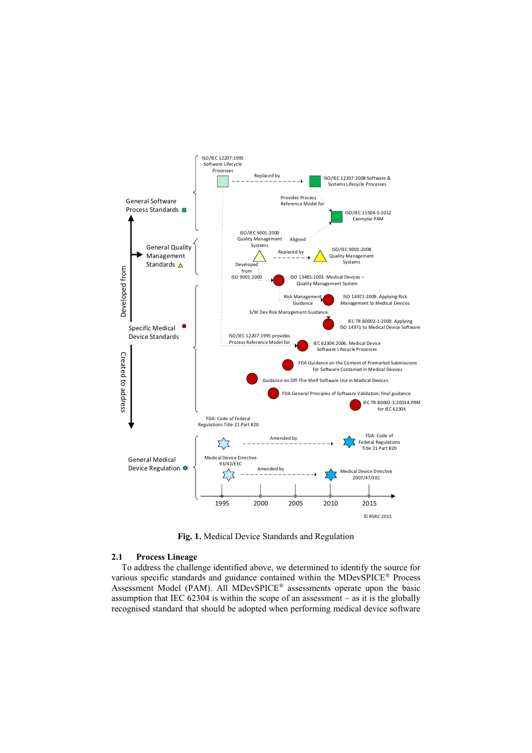

**Fig. 1.** Medical Device Standards and Regulation

### **2.1 Process Lineage**

To address the challenge identified above, we determined to identify the source for various specific standards and guidance contained within the MDevSPICE® Process Assessment Model (PAM). All MDevSPICE® assessments operate upon the basic assumption that IEC 62304 is within the scope of an assessment – as it is the globally recognised standard that should be adopted when performing medical device software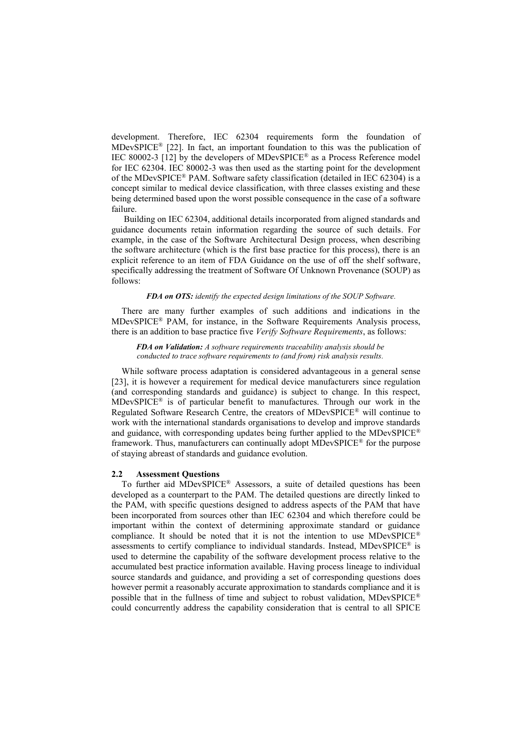development. Therefore, IEC 62304 requirements form the foundation of MDevSPICE® [22]. In fact, an important foundation to this was the publication of IEC 80002-3 [12] by the developers of MDevSPICE® as a Process Reference model for IEC 62304. IEC 80002-3 was then used as the starting point for the development of the MDevSPICE<sup>®</sup> PAM. Software safety classification (detailed in IEC 62304) is a concept similar to medical device classification, with three classes existing and these being determined based upon the worst possible consequence in the case of a software failure.

Building on IEC 62304, additional details incorporated from aligned standards and guidance documents retain information regarding the source of such details. For example, in the case of the Software Architectural Design process, when describing the software architecture (which is the first base practice for this process), there is an explicit reference to an item of FDA Guidance on the use of off the shelf software, specifically addressing the treatment of Software Of Unknown Provenance (SOUP) as follows:

#### *FDA on OTS: identify the expected design limitations of the SOUP Software.*

There are many further examples of such additions and indications in the MDevSPICE® PAM, for instance, in the Software Requirements Analysis process, there is an addition to base practice five *Verify Software Requirements*, as follows:

*FDA on Validation: A software requirements traceability analysis should be conducted to trace software requirements to (and from) risk analysis results.*

While software process adaptation is considered advantageous in a general sense [23], it is however a requirement for medical device manufacturers since regulation (and corresponding standards and guidance) is subject to change. In this respect, MDevSPICE® is of particular benefit to manufactures. Through our work in the Regulated Software Research Centre, the creators of MDevSPICE® will continue to work with the international standards organisations to develop and improve standards and guidance, with corresponding updates being further applied to the MDevSPICE® framework. Thus, manufacturers can continually adopt MDevSPICE® for the purpose of staying abreast of standards and guidance evolution.

### **2.2 Assessment Questions**

To further aid MDevSPICE® Assessors, a suite of detailed questions has been developed as a counterpart to the PAM. The detailed questions are directly linked to the PAM, with specific questions designed to address aspects of the PAM that have been incorporated from sources other than IEC 62304 and which therefore could be important within the context of determining approximate standard or guidance compliance. It should be noted that it is not the intention to use MDevSPICE® assessments to certify compliance to individual standards. Instead, MDevSPICE® is used to determine the capability of the software development process relative to the accumulated best practice information available. Having process lineage to individual source standards and guidance, and providing a set of corresponding questions does however permit a reasonably accurate approximation to standards compliance and it is possible that in the fullness of time and subject to robust validation, MDevSPICE® could concurrently address the capability consideration that is central to all SPICE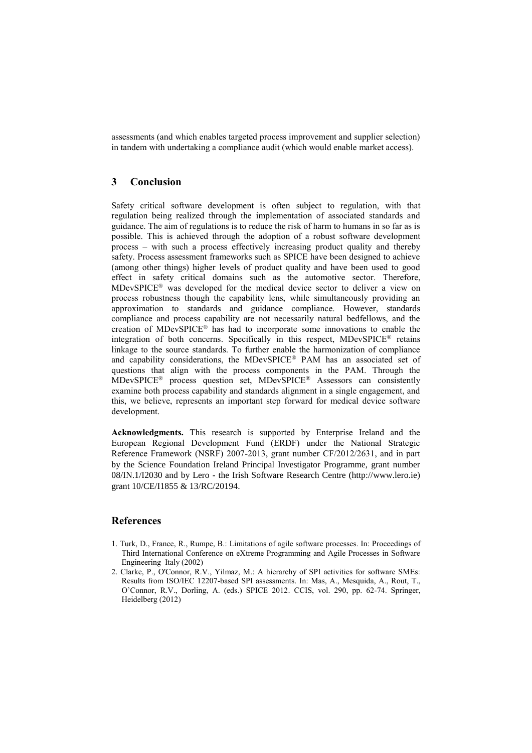assessments (and which enables targeted process improvement and supplier selection) in tandem with undertaking a compliance audit (which would enable market access).

# **3 Conclusion**

Safety critical software development is often subject to regulation, with that regulation being realized through the implementation of associated standards and guidance. The aim of regulations is to reduce the risk of harm to humans in so far as is possible. This is achieved through the adoption of a robust software development process – with such a process effectively increasing product quality and thereby safety. Process assessment frameworks such as SPICE have been designed to achieve (among other things) higher levels of product quality and have been used to good effect in safety critical domains such as the automotive sector. Therefore, MDevSPICE® was developed for the medical device sector to deliver a view on process robustness though the capability lens, while simultaneously providing an approximation to standards and guidance compliance. However, standards compliance and process capability are not necessarily natural bedfellows, and the creation of MDevSPICE® has had to incorporate some innovations to enable the integration of both concerns. Specifically in this respect, MDevSPICE® retains linkage to the source standards. To further enable the harmonization of compliance and capability considerations, the MDevSPICE® PAM has an associated set of questions that align with the process components in the PAM. Through the MDevSPICE® process question set, MDevSPICE® Assessors can consistently examine both process capability and standards alignment in a single engagement, and this, we believe, represents an important step forward for medical device software development.

**Acknowledgments.** This research is supported by Enterprise Ireland and the European Regional Development Fund (ERDF) under the National Strategic Reference Framework (NSRF) 2007-2013, grant number CF/2012/2631, and in part by the Science Foundation Ireland Principal Investigator Programme, grant number 08/IN.1/I2030 and by Lero - the Irish Software Research Centre (http://www.lero.ie) grant 10/CE/I1855 & 13/RC/20194.

### **References**

- 1. Turk, D., France, R., Rumpe, B.: Limitations of agile software processes. In: Proceedings of Third International Conference on eXtreme Programming and Agile Processes in Software Engineering Italy (2002)
- 2. Clarke, P., O'Connor, R.V., Yilmaz, M.: A hierarchy of SPI activities for software SMEs: Results from ISO/IEC 12207-based SPI assessments. In: Mas, A., Mesquida, A., Rout, T., O'Connor, R.V., Dorling, A. (eds.) SPICE 2012. CCIS, vol. 290, pp. 62-74. Springer, Heidelberg (2012)